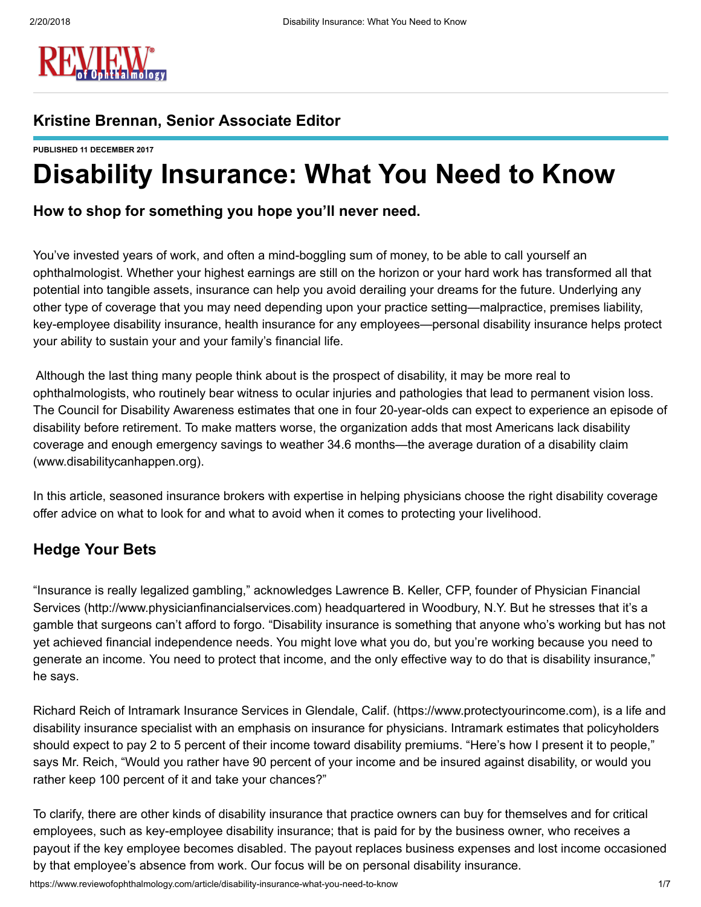

#### Kristine Brennan, Senior Associate Editor

PUBLISHED 11 DECEMBER 2017

# Disability Insurance: What You Need to Know

#### How to shop for something you hope you'll never need.

You've invested years of work, and often a mind-boggling sum of money, to be able to call yourself an ophthalmologist. Whether your highest earnings are still on the horizon or your hard work has transformed all that potential into tangible assets, insurance can help you avoid derailing your dreams for the future. Underlying any other type of coverage that you may need depending upon your practice setting—malpractice, premises liability, key-employee disability insurance, health insurance for any employees—personal disability insurance helps protect your ability to sustain your and your family's financial life.

Although the last thing many people think about is the prospect of disability, it may be more real to ophthalmologists, who routinely bear witness to ocular injuries and pathologies that lead to permanent vision loss. The Council for Disability Awareness estimates that one in four 20-year-olds can expect to experience an episode of disability before retirement. To make matters worse, the organization adds that most Americans lack disability coverage and enough emergency savings to weather 34.6 months—the average duration of a disability claim ([www.disabilitycanhappen.org\)](http://www.disabilitycanhappen.org/).

In this article, seasoned insurance brokers with expertise in helping physicians choose the right disability coverage offer advice on what to look for and what to avoid when it comes to protecting your livelihood.

#### Hedge Your Bets

"Insurance is really legalized gambling," acknowledges Lawrence B. Keller, CFP, founder of Physician Financial Services [\(http://www.physicianfinancialservices.com](http://www.physicianfinancialservices.com/)) headquartered in Woodbury, N.Y. But he stresses that it's a gamble that surgeons can't afford to forgo. "Disability insurance is something that anyone who's working but has not yet achieved financial independence needs. You might love what you do, but you're working because you need to generate an income. You need to protect that income, and the only effective way to do that is disability insurance," he says.

Richard Reich of Intramark Insurance Services in Glendale, Calif. [\(https://www.protectyourincome.com](https://www.protectyourincome.com/)), is a life and disability insurance specialist with an emphasis on insurance for physicians. Intramark estimates that policyholders should expect to pay 2 to 5 percent of their income toward disability premiums. "Here's how I present it to people," says Mr. Reich, "Would you rather have 90 percent of your income and be insured against disability, or would you rather keep 100 percent of it and take your chances?"

To clarify, there are other kinds of disability insurance that practice owners can buy for themselves and for critical employees, such as key-employee disability insurance; that is paid for by the business owner, who receives a payout if the key employee becomes disabled. The payout replaces business expenses and lost income occasioned by that employee's absence from work. Our focus will be on personal disability insurance.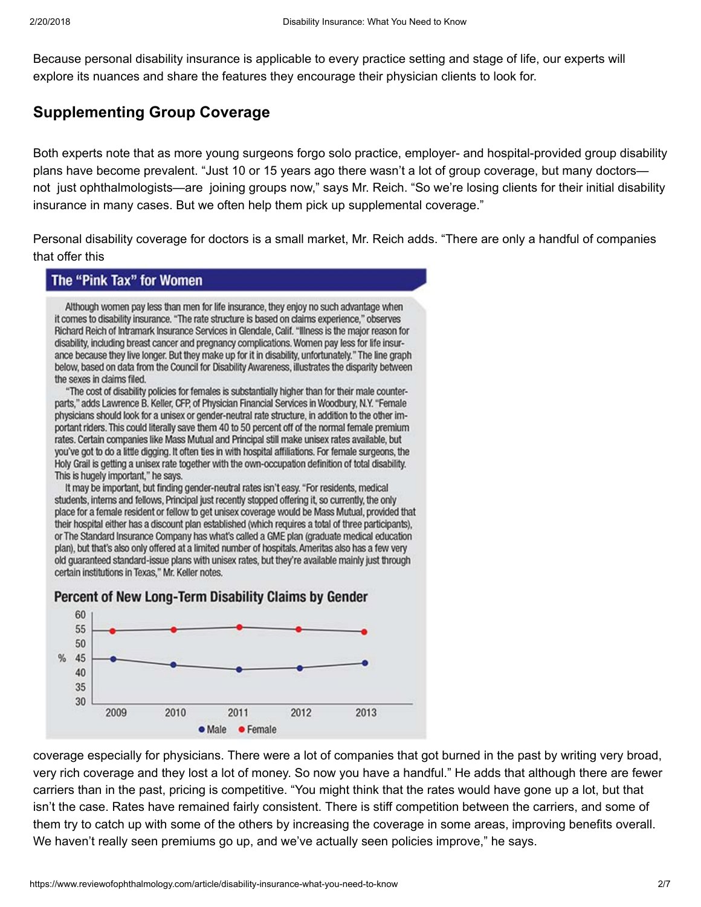Because personal disability insurance is applicable to every practice setting and stage of life, our experts will explore its nuances and share the features they encourage their physician clients to look for.

#### Supplementing Group Coverage

Both experts note that as more young surgeons forgo solo practice, employer- and hospital-provided group disability plans have become prevalent. "Just 10 or 15 years ago there wasn't a lot of group coverage, but many doctors not just ophthalmologists—are joining groups now," says Mr. Reich. "So we're losing clients for their initial disability insurance in many cases. But we often help them pick up supplemental coverage."

Personal disability coverage for doctors is a small market, Mr. Reich adds. "There are only a handful of companies that offer this

#### The "Pink Tax" for Women

Although women pay less than men for life insurance, they enjoy no such advantage when it comes to disability insurance. "The rate structure is based on claims experience," observes Richard Reich of Intramark Insurance Services in Glendale, Calif. "Illness is the major reason for disability, including breast cancer and pregnancy complications. Women pay less for life insurance because they live longer. But they make up for it in disability, unfortunately." The line graph below, based on data from the Council for Disability Awareness, illustrates the disparity between the sexes in claims filed.

"The cost of disability policies for females is substantially higher than for their male counterparts," adds Lawrence B. Keller, CFP, of Physician Financial Services in Woodbury, N.Y. "Female physicians should look for a unisex or gender-neutral rate structure, in addition to the other important riders. This could literally save them 40 to 50 percent off of the normal female premium rates. Certain companies like Mass Mutual and Principal still make unisex rates available, but you've got to do a little digging. It often ties in with hospital affiliations. For female surgeons, the Holy Grail is getting a unisex rate together with the own-occupation definition of total disability. This is hugely important," he says.

It may be important, but finding gender-neutral rates isn't easy. "For residents, medical students, interns and fellows, Principal just recently stopped offering it, so currently, the only place for a female resident or fellow to get unisex coverage would be Mass Mutual, provided that their hospital either has a discount plan established (which requires a total of three participants), or The Standard Insurance Company has what's called a GME plan (graduate medical education plan), but that's also only offered at a limited number of hospitals. Ameritas also has a few very old guaranteed standard-issue plans with unisex rates, but they're available mainly just through certain institutions in Texas," Mr. Keller notes.



#### Percent of New Long-Term Disability Claims by Gender

coverage especially for physicians. There were a lot of companies that got burned in the past by writing very broad, very rich coverage and they lost a lot of money. So now you have a handful." He adds that although there are fewer carriers than in the past, pricing is competitive. "You might think that the rates would have gone up a lot, but that isn't the case. Rates have remained fairly consistent. There is stiff competition between the carriers, and some of them try to catch up with some of the others by increasing the coverage in some areas, improving benefits overall. We haven't really seen premiums go up, and we've actually seen policies improve," he says.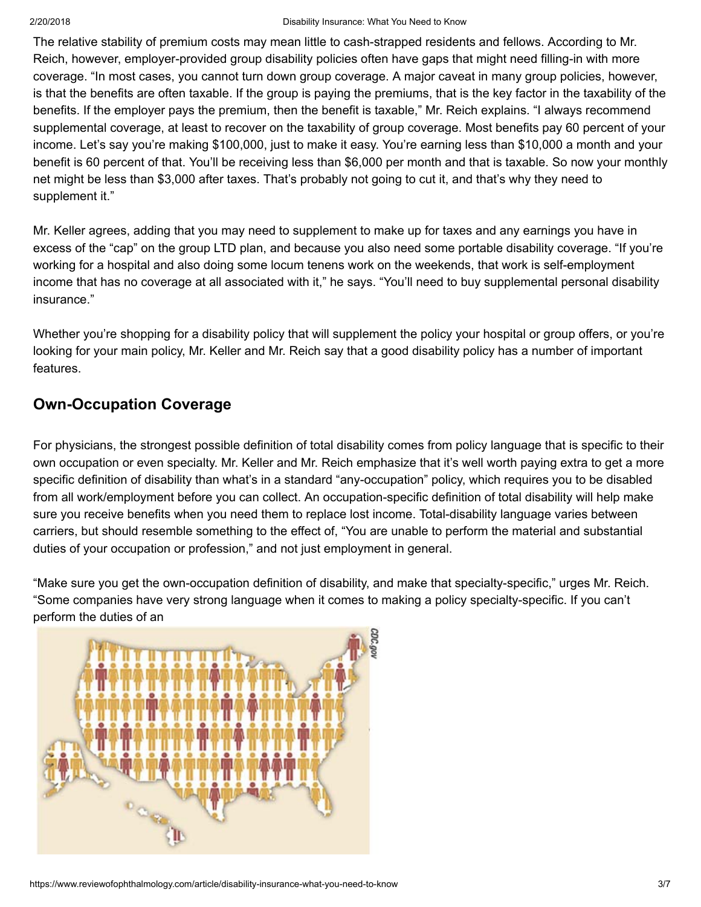The relative stability of premium costs may mean little to cash-strapped residents and fellows. According to Mr. Reich, however, employer-provided group disability policies often have gaps that might need filling-in with more coverage. "In most cases, you cannot turn down group coverage. A major caveat in many group policies, however, is that the benefits are often taxable. If the group is paying the premiums, that is the key factor in the taxability of the benefits. If the employer pays the premium, then the benefit is taxable," Mr. Reich explains. "I always recommend supplemental coverage, at least to recover on the taxability of group coverage. Most benefits pay 60 percent of your income. Let's say you're making \$100,000, just to make it easy. You're earning less than \$10,000 a month and your benefit is 60 percent of that. You'll be receiving less than \$6,000 per month and that is taxable. So now your monthly net might be less than \$3,000 after taxes. That's probably not going to cut it, and that's why they need to supplement it."

Mr. Keller agrees, adding that you may need to supplement to make up for taxes and any earnings you have in excess of the "cap" on the group LTD plan, and because you also need some portable disability coverage. "If you're working for a hospital and also doing some locum tenens work on the weekends, that work is self-employment income that has no coverage at all associated with it," he says. "You'll need to buy supplemental personal disability insurance."

Whether you're shopping for a disability policy that will supplement the policy your hospital or group offers, or you're looking for your main policy, Mr. Keller and Mr. Reich say that a good disability policy has a number of important features.

### Own-Occupation Coverage

For physicians, the strongest possible definition of total disability comes from policy language that is specific to their own occupation or even specialty. Mr. Keller and Mr. Reich emphasize that it's well worth paying extra to get a more specific definition of disability than what's in a standard "any-occupation" policy, which requires you to be disabled from all work/employment before you can collect. An occupation-specific definition of total disability will help make sure you receive benefits when you need them to replace lost income. Total-disability language varies between carriers, but should resemble something to the effect of, "You are unable to perform the material and substantial duties of your occupation or profession," and not just employment in general.

"Make sure you get the own-occupation definition of disability, and make that specialty-specific," urges Mr. Reich. "Some companies have very strong language when it comes to making a policy specialty-specific. If you can't perform the duties of an

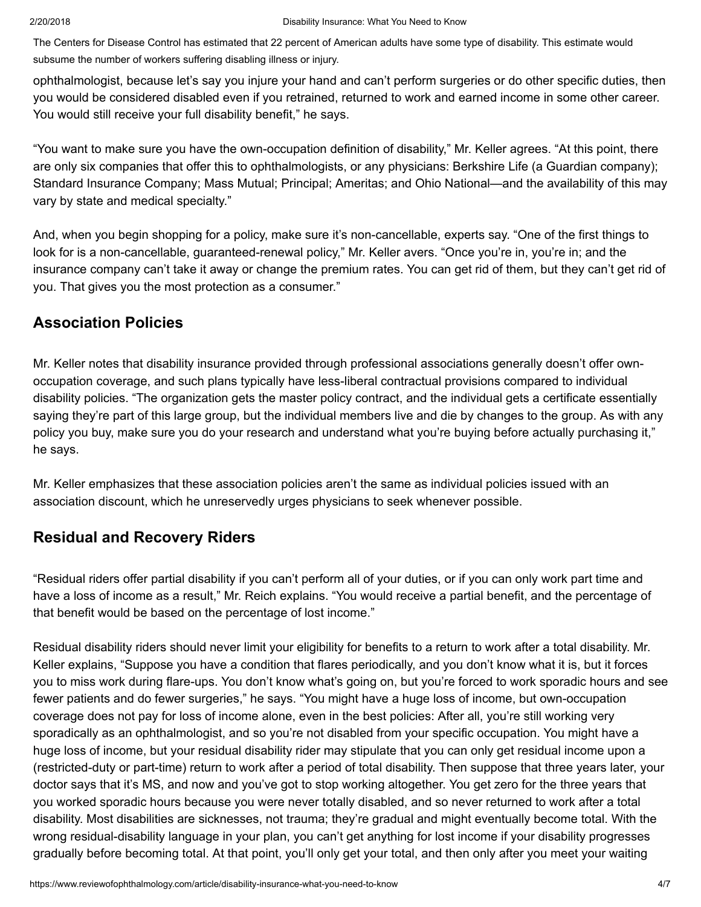The Centers for Disease Control has estimated that 22 percent of American adults have some type of disability. This estimate would subsume the number of workers suffering disabling illness or injury.

ophthalmologist, because let's say you injure your hand and can't perform surgeries or do other specific duties, then you would be considered disabled even if you retrained, returned to work and earned income in some other career. You would still receive your full disability benefit," he says.

"You want to make sure you have the own-occupation definition of disability," Mr. Keller agrees. "At this point, there are only six companies that offer this to ophthalmologists, or any physicians: Berkshire Life (a Guardian company); Standard Insurance Company; Mass Mutual; Principal; Ameritas; and Ohio National—and the availability of this may vary by state and medical specialty."

And, when you begin shopping for a policy, make sure it's non-cancellable, experts say. "One of the first things to look for is a non-cancellable, guaranteed-renewal policy," Mr. Keller avers. "Once you're in, you're in; and the insurance company can't take it away or change the premium rates. You can get rid of them, but they can't get rid of you. That gives you the most protection as a consumer."

#### Association Policies

Mr. Keller notes that disability insurance provided through professional associations generally doesn't offer ownoccupation coverage, and such plans typically have less-liberal contractual provisions compared to individual disability policies. "The organization gets the master policy contract, and the individual gets a certificate essentially saying they're part of this large group, but the individual members live and die by changes to the group. As with any policy you buy, make sure you do your research and understand what you're buying before actually purchasing it," he says.

Mr. Keller emphasizes that these association policies aren't the same as individual policies issued with an association discount, which he unreservedly urges physicians to seek whenever possible.

#### Residual and Recovery Riders

"Residual riders offer partial disability if you can't perform all of your duties, or if you can only work part time and have a loss of income as a result," Mr. Reich explains. "You would receive a partial benefit, and the percentage of that benefit would be based on the percentage of lost income."

Residual disability riders should never limit your eligibility for benefits to a return to work after a total disability. Mr. Keller explains, "Suppose you have a condition that flares periodically, and you don't know what it is, but it forces you to miss work during flare-ups. You don't know what's going on, but you're forced to work sporadic hours and see fewer patients and do fewer surgeries," he says. "You might have a huge loss of income, but own-occupation coverage does not pay for loss of income alone, even in the best policies: After all, you're still working very sporadically as an ophthalmologist, and so you're not disabled from your specific occupation. You might have a huge loss of income, but your residual disability rider may stipulate that you can only get residual income upon a (restricted-duty or part-time) return to work after a period of total disability. Then suppose that three years later, your doctor says that it's MS, and now and you've got to stop working altogether. You get zero for the three years that you worked sporadic hours because you were never totally disabled, and so never returned to work after a total disability. Most disabilities are sicknesses, not trauma; they're gradual and might eventually become total. With the wrong residual-disability language in your plan, you can't get anything for lost income if your disability progresses gradually before becoming total. At that point, you'll only get your total, and then only after you meet your waiting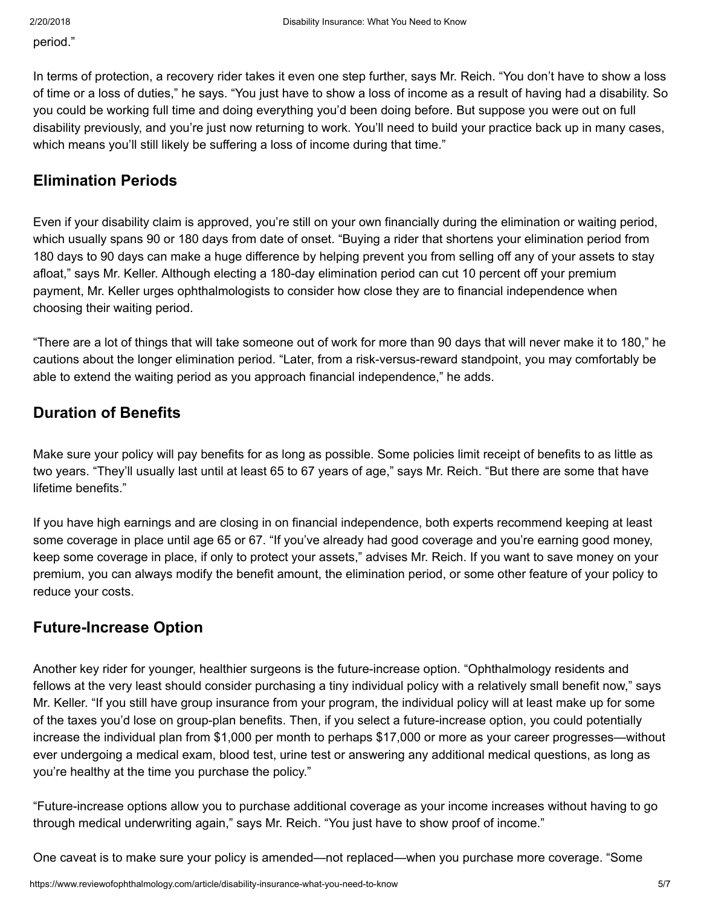period."

In terms of protection, a recovery rider takes it even one step further, says Mr. Reich. "You don't have to show a loss of time or a loss of duties," he says. "You just have to show a loss of income as a result of having had a disability. So you could be working full time and doing everything you'd been doing before. But suppose you were out on full disability previously, and you're just now returning to work. You'll need to build your practice back up in many cases, which means you'll still likely be suffering a loss of income during that time."

#### Elimination Periods

Even if your disability claim is approved, you're still on your own financially during the elimination or waiting period, which usually spans 90 or 180 days from date of onset. "Buying a rider that shortens your elimination period from 180 days to 90 days can make a huge difference by helping prevent you from selling off any of your assets to stay afloat," says Mr. Keller. Although electing a 180-day elimination period can cut 10 percent off your premium payment, Mr. Keller urges ophthalmologists to consider how close they are to financial independence when choosing their waiting period.

"There are a lot of things that will take someone out of work for more than 90 days that will never make it to 180," he cautions about the longer elimination period. "Later, from a risk-versus-reward standpoint, you may comfortably be able to extend the waiting period as you approach financial independence," he adds.

#### Duration of Benefits

Make sure your policy will pay benefits for as long as possible. Some policies limit receipt of benefits to as little as two years. "They'll usually last until at least 65 to 67 years of age," says Mr. Reich. "But there are some that have lifetime benefits."

If you have high earnings and are closing in on financial independence, both experts recommend keeping at least some coverage in place until age 65 or 67. "If you've already had good coverage and you're earning good money, keep some coverage in place, if only to protect your assets," advises Mr. Reich. If you want to save money on your premium, you can always modify the benefit amount, the elimination period, or some other feature of your policy to reduce your costs.

#### Future-Increase Option

Another key rider for younger, healthier surgeons is the future-increase option. "Ophthalmology residents and fellows at the very least should consider purchasing a tiny individual policy with a relatively small benefit now," says Mr. Keller. "If you still have group insurance from your program, the individual policy will at least make up for some of the taxes you'd lose on group-plan benefits. Then, if you select a future-increase option, you could potentially increase the individual plan from \$1,000 per month to perhaps \$17,000 or more as your career progresses—without ever undergoing a medical exam, blood test, urine test or answering any additional medical questions, as long as you're healthy at the time you purchase the policy."

"Future-increase options allow you to purchase additional coverage as your income increases without having to go through medical underwriting again," says Mr. Reich. "You just have to show proof of income."

One caveat is to make sure your policy is amended—not replaced—when you purchase more coverage. "Some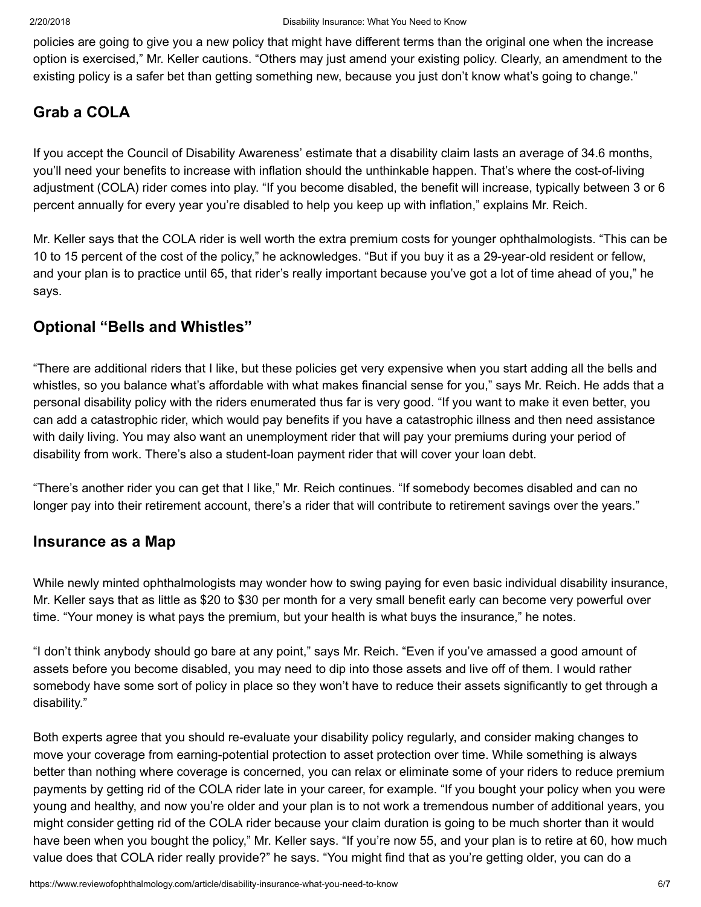policies are going to give you a new policy that might have different terms than the original one when the increase option is exercised," Mr. Keller cautions. "Others may just amend your existing policy. Clearly, an amendment to the existing policy is a safer bet than getting something new, because you just don't know what's going to change."

## Grab a COLA

If you accept the Council of Disability Awareness' estimate that a disability claim lasts an average of 34.6 months, you'll need your benefits to increase with inflation should the unthinkable happen. That's where the cost-of-living adjustment (COLA) rider comes into play. "If you become disabled, the benefit will increase, typically between 3 or 6 percent annually for every year you're disabled to help you keep up with inflation," explains Mr. Reich.

Mr. Keller says that the COLA rider is well worth the extra premium costs for younger ophthalmologists. "This can be 10 to 15 percent of the cost of the policy," he acknowledges. "But if you buy it as a 29-year-old resident or fellow, and your plan is to practice until 65, that rider's really important because you've got a lot of time ahead of you," he says.

### Optional "Bells and Whistles"

"There are additional riders that I like, but these policies get very expensive when you start adding all the bells and whistles, so you balance what's affordable with what makes financial sense for you," says Mr. Reich. He adds that a personal disability policy with the riders enumerated thus far is very good. "If you want to make it even better, you can add a catastrophic rider, which would pay benefits if you have a catastrophic illness and then need assistance with daily living. You may also want an unemployment rider that will pay your premiums during your period of disability from work. There's also a student-loan payment rider that will cover your loan debt.

"There's another rider you can get that I like," Mr. Reich continues. "If somebody becomes disabled and can no longer pay into their retirement account, there's a rider that will contribute to retirement savings over the years."

#### Insurance as a Map

While newly minted ophthalmologists may wonder how to swing paying for even basic individual disability insurance, Mr. Keller says that as little as \$20 to \$30 per month for a very small benefit early can become very powerful over time. "Your money is what pays the premium, but your health is what buys the insurance," he notes.

"I don't think anybody should go bare at any point," says Mr. Reich. "Even if you've amassed a good amount of assets before you become disabled, you may need to dip into those assets and live off of them. I would rather somebody have some sort of policy in place so they won't have to reduce their assets significantly to get through a disability."

Both experts agree that you should re-evaluate your disability policy regularly, and consider making changes to move your coverage from earning-potential protection to asset protection over time. While something is always better than nothing where coverage is concerned, you can relax or eliminate some of your riders to reduce premium payments by getting rid of the COLA rider late in your career, for example. "If you bought your policy when you were young and healthy, and now you're older and your plan is to not work a tremendous number of additional years, you might consider getting rid of the COLA rider because your claim duration is going to be much shorter than it would have been when you bought the policy," Mr. Keller says. "If you're now 55, and your plan is to retire at 60, how much value does that COLA rider really provide?" he says. "You might find that as you're getting older, you can do a